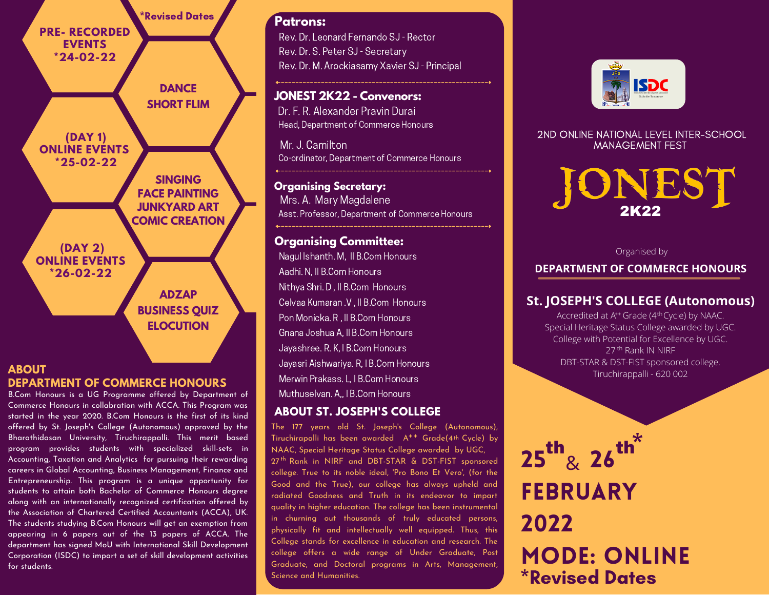

#### **ABOUT DEPARTMENT OF COMMERCE HONOURS**

the students. The subject to change based on the subject to change based on the subject to change based on the subject to change based on the subject of  $\sim$ B.Com Honours is a UG Programme offered by Department of Commerce Honours in collabration with ACCA. This Program was started in the year 2020. B.Com Honours is the first of its kind offered by St. Joseph's College (Autonomous) approved by the Bharathidasan University, Tiruchirappalli. This merit based program provides students with specialized skill-sets in Accounting, Taxation and Analytics for pursuing their rewarding careers in Global Accounting, Business Management, Finance and Entrepreneurship. This program is a unique opportunity for students to attain both Bachelor of Commerce Honours degree along with an internationally recognized certification offered by the Association of Chartered Certified Accountants (ACCA), UK. The students studying B.Com Honours will get an exemption from appearing in 6 papers out of the 13 papers of ACCA. The department has signed MoU with International Skill Development Corporation (ISDC) to impart a set of skill development activities

## **Patrons:**

Rev. Dr. Leonard Fernando SJ - Rector Rev. Dr. S. Peter SJ - Secretary Rev. Dr. M. Arockiasamy Xavier SJ - Principal

# **JONEST 2K22 - Convenors:**

Dr. F. R. Alexander Pravin Durai Head, Department of Commerce Honours

Mr. J. Camilton Co-ordinator, Department of Commerce Honours

**Organising Secretary:** Mrs. A. Mary Magdalene Asst. Professor, Department of Commerce Honours

# **Organising Committee:**

Nagul Ishanth. M, II B.Com Honours Aadhi. N, II B.Com Honours Nithya Shri. D , II B.Com Honours Celvaa Kumaran .V , II B.Com Honours Pon Monicka. R , II B.Com Honours Gnana Joshua A, II B.Com Honours Jayashree. R. K, I B.Com Honours Jayasri Aishwariya. R, I B.Com Honours Merwin Prakass. L, I B.Com Honours. Muthuselvan. A,, I B.Com Honours

# **ABOUT ST. JOSEPH'S COLLEGE**

The 177 years old St. Joseph's College (Autonomous), Tiruchirapalli has been awarded A<sup>++</sup> Grade(4th Cycle) by NAAC, Special Heritage Status College awarded by UGC, 27<sup>th</sup> Rank in NIRF and DBT-STAR & DST-FIST sponsored college. True to its noble ideal, 'Pro Bono Et Vero', (for the Good and the True), our college has always upheld and radiated Goodness and Truth in its endeavor to impart quality in higher education. The college has been instrumental in churning out thousands of truly educated persons, physically fit and intellectually well equipped. Thus, this College stands for excellence in education and research. The college offers a wide range of Under Graduate, Post Graduate, and Doctoral programs in Arts, Management, Science and Humanities.



#### 2ND ONLINE NATIONAL LEVEL INTER-SCHOOL MANAGEMENT FEST



#### Organised by

### **DEPARTMENT OF COMMERCE HONOURS**

# **St. JOSEPH'S COLLEGE (Autonomous)**

Accredited at A<sup>++</sup> Grade (4<sup>th</sup>Cycle) by NAAC. 27<sup>th</sup> Rank IN NIRF Special Heritage Status College awarded by UGC. College with Potential for Excellence by UGC. DBT-STAR & DST-FIST sponsored college. Tiruchirappalli - 620 002

# $25$   $\mathrm{^\circ\mathrm{g}}$   $26^\circ$ FEBRUARY 2022 Mode: Online th  $\frac{1}{2}$ , th<sup>\*</sup> \*Revised Dates